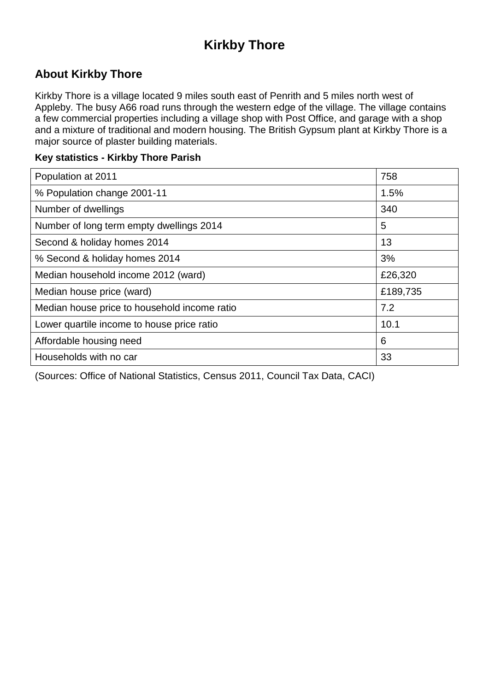# **Kirkby Thore**

### **About Kirkby Thore**

Kirkby Thore is a village located 9 miles south east of Penrith and 5 miles north west of Appleby. The busy A66 road runs through the western edge of the village. The village contains a few commercial properties including a village shop with Post Office, and garage with a shop and a mixture of traditional and modern housing. The British Gypsum plant at Kirkby Thore is a major source of plaster building materials.

#### **Key statistics - Kirkby Thore Parish**

| Population at 2011                           | 758      |
|----------------------------------------------|----------|
| % Population change 2001-11                  | 1.5%     |
| Number of dwellings                          | 340      |
| Number of long term empty dwellings 2014     | 5        |
| Second & holiday homes 2014                  | 13       |
| % Second & holiday homes 2014                | 3%       |
| Median household income 2012 (ward)          | £26,320  |
| Median house price (ward)                    | £189,735 |
| Median house price to household income ratio | 7.2      |
| Lower quartile income to house price ratio   | 10.1     |
| Affordable housing need                      | 6        |
| Households with no car                       | 33       |

(Sources: Office of National Statistics, Census 2011, Council Tax Data, CACI)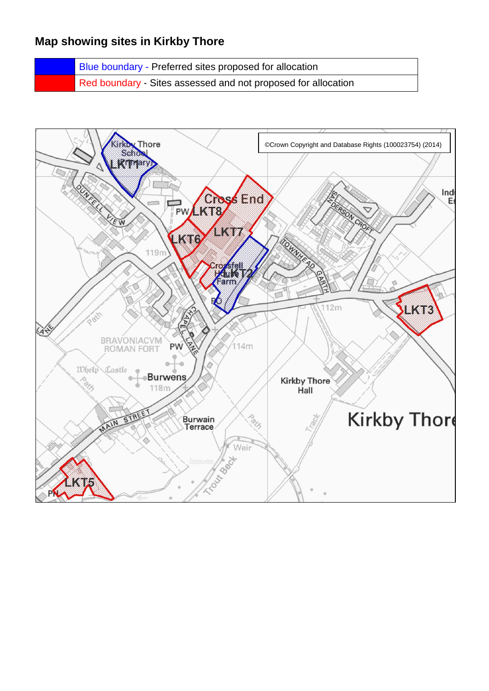### **Map showing sites in Kirkby Thore**

Blue boundary - Preferred sites proposed for allocation Red boundary - Sites assessed and not proposed for allocation

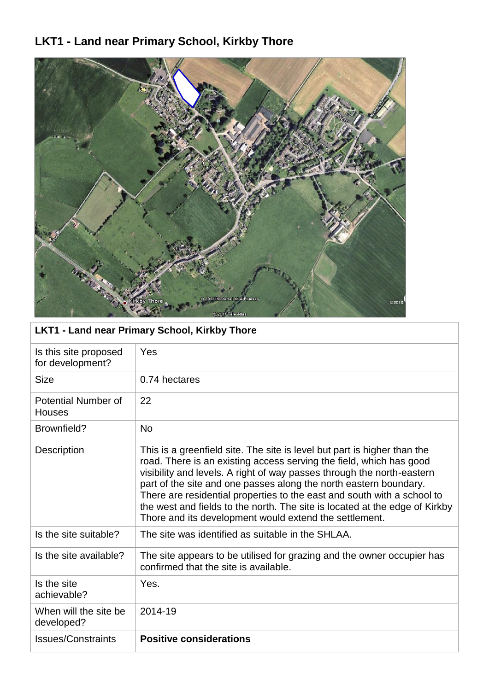# **LKT1 - Land near Primary School, Kirkby Thore**



| <b>LKT1 - Land near Primary School, Kirkby Thore</b> |                                                                                                                                                                                                                                                                                                                                                                                                                                                                                                                    |  |
|------------------------------------------------------|--------------------------------------------------------------------------------------------------------------------------------------------------------------------------------------------------------------------------------------------------------------------------------------------------------------------------------------------------------------------------------------------------------------------------------------------------------------------------------------------------------------------|--|
| Is this site proposed<br>for development?            | Yes                                                                                                                                                                                                                                                                                                                                                                                                                                                                                                                |  |
| <b>Size</b>                                          | 0.74 hectares                                                                                                                                                                                                                                                                                                                                                                                                                                                                                                      |  |
| Potential Number of<br><b>Houses</b>                 | 22                                                                                                                                                                                                                                                                                                                                                                                                                                                                                                                 |  |
| Brownfield?                                          | <b>No</b>                                                                                                                                                                                                                                                                                                                                                                                                                                                                                                          |  |
| Description                                          | This is a greenfield site. The site is level but part is higher than the<br>road. There is an existing access serving the field, which has good<br>visibility and levels. A right of way passes through the north-eastern<br>part of the site and one passes along the north eastern boundary.<br>There are residential properties to the east and south with a school to<br>the west and fields to the north. The site is located at the edge of Kirkby<br>Thore and its development would extend the settlement. |  |
| Is the site suitable?                                | The site was identified as suitable in the SHLAA.                                                                                                                                                                                                                                                                                                                                                                                                                                                                  |  |
| Is the site available?                               | The site appears to be utilised for grazing and the owner occupier has<br>confirmed that the site is available.                                                                                                                                                                                                                                                                                                                                                                                                    |  |
| Is the site<br>achievable?                           | Yes.                                                                                                                                                                                                                                                                                                                                                                                                                                                                                                               |  |
| When will the site be<br>developed?                  | 2014-19                                                                                                                                                                                                                                                                                                                                                                                                                                                                                                            |  |
| <b>Issues/Constraints</b>                            | <b>Positive considerations</b>                                                                                                                                                                                                                                                                                                                                                                                                                                                                                     |  |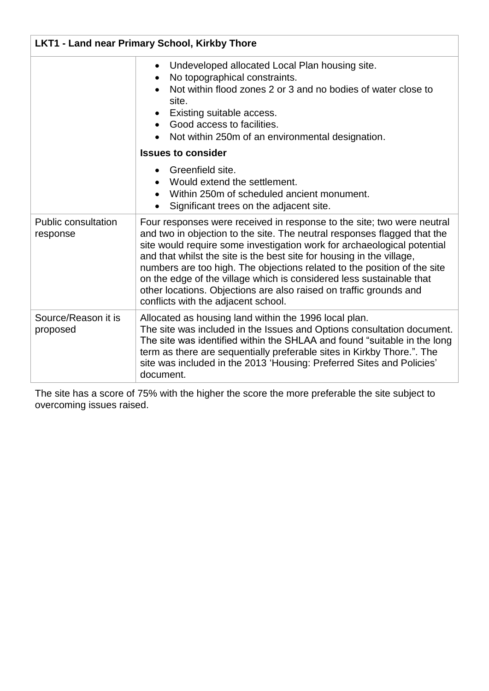| <b>LKT1 - Land near Primary School, Kirkby Thore</b> |                                                                                                                                                                                                                                                                                                                                                                                                                                                                                                                                                                         |
|------------------------------------------------------|-------------------------------------------------------------------------------------------------------------------------------------------------------------------------------------------------------------------------------------------------------------------------------------------------------------------------------------------------------------------------------------------------------------------------------------------------------------------------------------------------------------------------------------------------------------------------|
|                                                      | Undeveloped allocated Local Plan housing site.<br>No topographical constraints.<br>Not within flood zones 2 or 3 and no bodies of water close to<br>site.<br>Existing suitable access.<br>Good access to facilities.<br>Not within 250m of an environmental designation.                                                                                                                                                                                                                                                                                                |
|                                                      | <b>Issues to consider</b>                                                                                                                                                                                                                                                                                                                                                                                                                                                                                                                                               |
|                                                      | Greenfield site.<br>Would extend the settlement.<br>Within 250m of scheduled ancient monument.<br>Significant trees on the adjacent site.                                                                                                                                                                                                                                                                                                                                                                                                                               |
| <b>Public consultation</b><br>response               | Four responses were received in response to the site; two were neutral<br>and two in objection to the site. The neutral responses flagged that the<br>site would require some investigation work for archaeological potential<br>and that whilst the site is the best site for housing in the village,<br>numbers are too high. The objections related to the position of the site<br>on the edge of the village which is considered less sustainable that<br>other locations. Objections are also raised on traffic grounds and<br>conflicts with the adjacent school. |
| Source/Reason it is<br>proposed                      | Allocated as housing land within the 1996 local plan.<br>The site was included in the Issues and Options consultation document.<br>The site was identified within the SHLAA and found "suitable in the long<br>term as there are sequentially preferable sites in Kirkby Thore.". The<br>site was included in the 2013 'Housing: Preferred Sites and Policies'<br>document.                                                                                                                                                                                             |

The site has a score of 75% with the higher the score the more preferable the site subject to overcoming issues raised.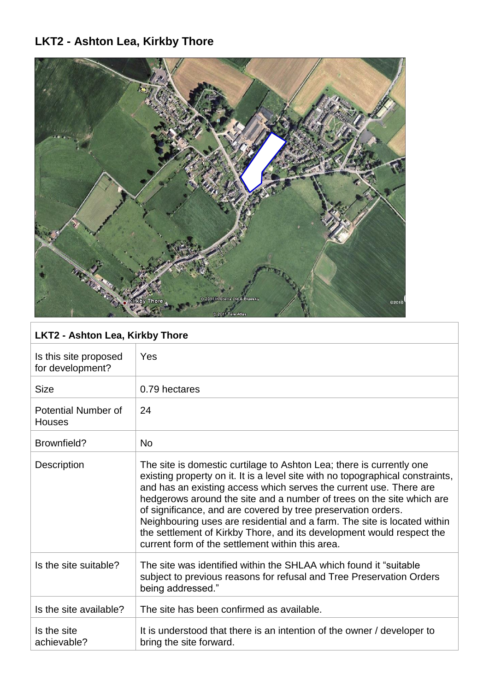# **LKT2 - Ashton Lea, Kirkby Thore**



| <b>LKT2 - Ashton Lea, Kirkby Thore</b>      |                                                                                                                                                                                                                                                                                                                                                                                                                                                                                                                                                                                 |
|---------------------------------------------|---------------------------------------------------------------------------------------------------------------------------------------------------------------------------------------------------------------------------------------------------------------------------------------------------------------------------------------------------------------------------------------------------------------------------------------------------------------------------------------------------------------------------------------------------------------------------------|
| Is this site proposed<br>for development?   | Yes                                                                                                                                                                                                                                                                                                                                                                                                                                                                                                                                                                             |
| <b>Size</b>                                 | 0.79 hectares                                                                                                                                                                                                                                                                                                                                                                                                                                                                                                                                                                   |
| <b>Potential Number of</b><br><b>Houses</b> | 24                                                                                                                                                                                                                                                                                                                                                                                                                                                                                                                                                                              |
| Brownfield?                                 | <b>No</b>                                                                                                                                                                                                                                                                                                                                                                                                                                                                                                                                                                       |
| Description                                 | The site is domestic curtilage to Ashton Lea; there is currently one<br>existing property on it. It is a level site with no topographical constraints,<br>and has an existing access which serves the current use. There are<br>hedgerows around the site and a number of trees on the site which are<br>of significance, and are covered by tree preservation orders.<br>Neighbouring uses are residential and a farm. The site is located within<br>the settlement of Kirkby Thore, and its development would respect the<br>current form of the settlement within this area. |
| Is the site suitable?                       | The site was identified within the SHLAA which found it "suitable"<br>subject to previous reasons for refusal and Tree Preservation Orders<br>being addressed."                                                                                                                                                                                                                                                                                                                                                                                                                 |
| Is the site available?                      | The site has been confirmed as available.                                                                                                                                                                                                                                                                                                                                                                                                                                                                                                                                       |
| Is the site<br>achievable?                  | It is understood that there is an intention of the owner / developer to<br>bring the site forward.                                                                                                                                                                                                                                                                                                                                                                                                                                                                              |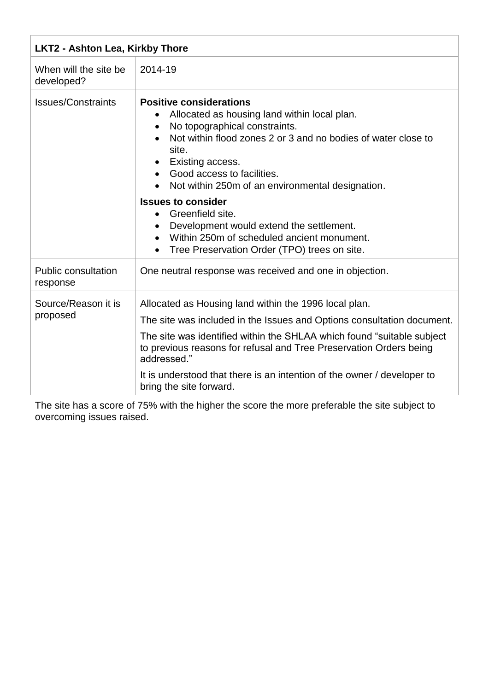| <b>LKT2 - Ashton Lea, Kirkby Thore</b> |                                                                                                                                                                                                                                                                                                                                                                                                       |
|----------------------------------------|-------------------------------------------------------------------------------------------------------------------------------------------------------------------------------------------------------------------------------------------------------------------------------------------------------------------------------------------------------------------------------------------------------|
| When will the site be<br>developed?    | 2014-19                                                                                                                                                                                                                                                                                                                                                                                               |
| <b>Issues/Constraints</b>              | <b>Positive considerations</b><br>Allocated as housing land within local plan.<br>No topographical constraints.<br>Not within flood zones 2 or 3 and no bodies of water close to<br>site.<br>Existing access.<br>Good access to facilities.<br>$\bullet$<br>Not within 250m of an environmental designation.                                                                                          |
|                                        | <b>Issues to consider</b><br>Greenfield site.<br>$\bullet$<br>Development would extend the settlement.<br>$\bullet$<br>Within 250m of scheduled ancient monument.<br>$\bullet$<br>Tree Preservation Order (TPO) trees on site.<br>$\bullet$                                                                                                                                                           |
| <b>Public consultation</b><br>response | One neutral response was received and one in objection.                                                                                                                                                                                                                                                                                                                                               |
| Source/Reason it is<br>proposed        | Allocated as Housing land within the 1996 local plan.<br>The site was included in the Issues and Options consultation document.<br>The site was identified within the SHLAA which found "suitable subject"<br>to previous reasons for refusal and Tree Preservation Orders being<br>addressed."<br>It is understood that there is an intention of the owner / developer to<br>bring the site forward. |

The site has a score of 75% with the higher the score the more preferable the site subject to overcoming issues raised.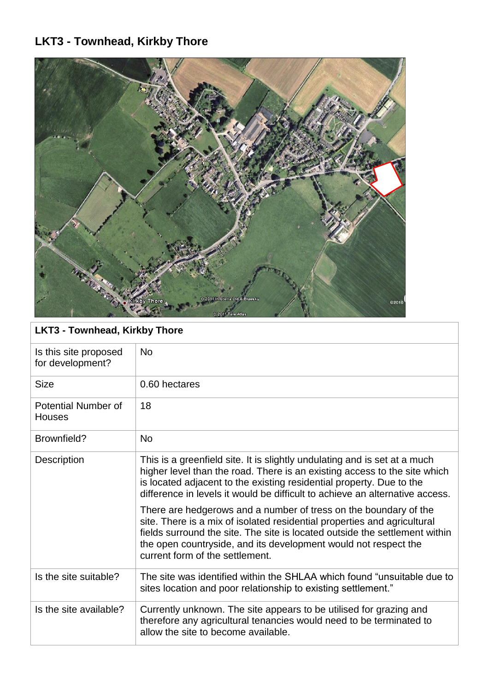# **LKT3 - Townhead, Kirkby Thore**



| <b>LKT3 - Townhead, Kirkby Thore</b>        |                                                                                                                                                                                                                                                                                                                                   |
|---------------------------------------------|-----------------------------------------------------------------------------------------------------------------------------------------------------------------------------------------------------------------------------------------------------------------------------------------------------------------------------------|
| Is this site proposed<br>for development?   | <b>No</b>                                                                                                                                                                                                                                                                                                                         |
| <b>Size</b>                                 | 0.60 hectares                                                                                                                                                                                                                                                                                                                     |
| <b>Potential Number of</b><br><b>Houses</b> | 18                                                                                                                                                                                                                                                                                                                                |
| Brownfield?                                 | <b>No</b>                                                                                                                                                                                                                                                                                                                         |
| Description                                 | This is a greenfield site. It is slightly undulating and is set at a much<br>higher level than the road. There is an existing access to the site which<br>is located adjacent to the existing residential property. Due to the<br>difference in levels it would be difficult to achieve an alternative access.                    |
|                                             | There are hedgerows and a number of tress on the boundary of the<br>site. There is a mix of isolated residential properties and agricultural<br>fields surround the site. The site is located outside the settlement within<br>the open countryside, and its development would not respect the<br>current form of the settlement. |
| Is the site suitable?                       | The site was identified within the SHLAA which found "unsuitable due to<br>sites location and poor relationship to existing settlement."                                                                                                                                                                                          |
| Is the site available?                      | Currently unknown. The site appears to be utilised for grazing and<br>therefore any agricultural tenancies would need to be terminated to<br>allow the site to become available.                                                                                                                                                  |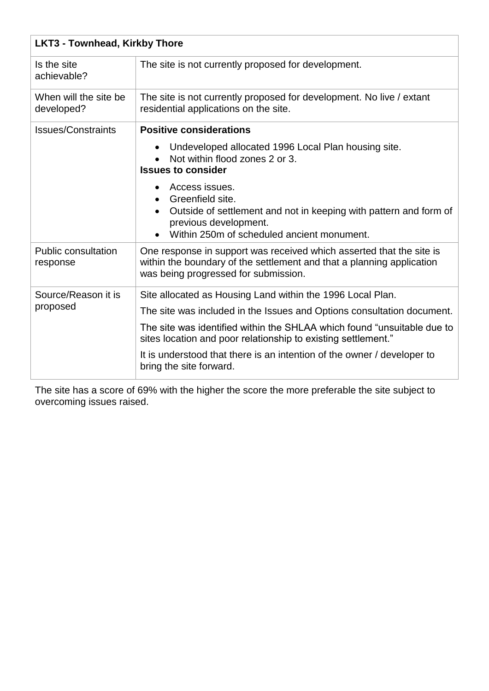| <b>LKT3 - Townhead, Kirkby Thore</b>   |                                                                                                                                                                                             |
|----------------------------------------|---------------------------------------------------------------------------------------------------------------------------------------------------------------------------------------------|
| Is the site<br>achievable?             | The site is not currently proposed for development.                                                                                                                                         |
| When will the site be<br>developed?    | The site is not currently proposed for development. No live / extant<br>residential applications on the site.                                                                               |
| <b>Issues/Constraints</b>              | <b>Positive considerations</b>                                                                                                                                                              |
|                                        | Undeveloped allocated 1996 Local Plan housing site.<br>$\bullet$<br>Not within flood zones 2 or 3.<br><b>Issues to consider</b>                                                             |
|                                        | Access issues.<br>Greenfield site.<br>$\bullet$<br>Outside of settlement and not in keeping with pattern and form of<br>previous development.<br>Within 250m of scheduled ancient monument. |
| <b>Public consultation</b><br>response | One response in support was received which asserted that the site is<br>within the boundary of the settlement and that a planning application<br>was being progressed for submission.       |
| Source/Reason it is<br>proposed        | Site allocated as Housing Land within the 1996 Local Plan.                                                                                                                                  |
|                                        | The site was included in the Issues and Options consultation document.                                                                                                                      |
|                                        | The site was identified within the SHLAA which found "unsuitable due to<br>sites location and poor relationship to existing settlement."                                                    |
|                                        | It is understood that there is an intention of the owner / developer to<br>bring the site forward.                                                                                          |

The site has a score of 69% with the higher the score the more preferable the site subject to overcoming issues raised.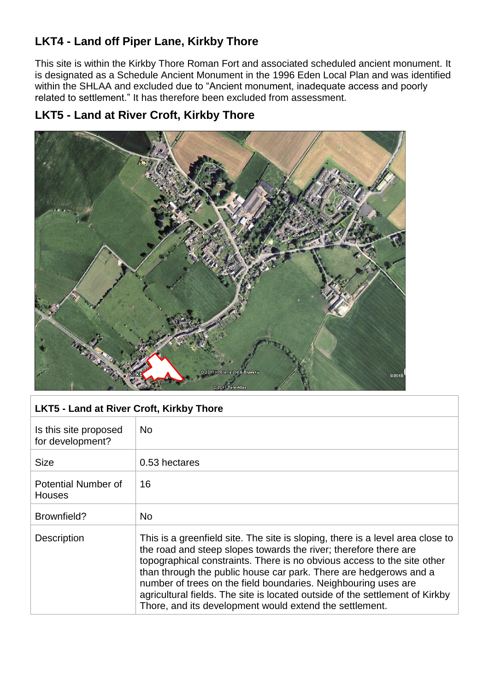## **LKT4 - Land off Piper Lane, Kirkby Thore**

This site is within the Kirkby Thore Roman Fort and associated scheduled ancient monument. It is designated as a Schedule Ancient Monument in the 1996 Eden Local Plan and was identified within the SHLAA and excluded due to "Ancient monument, inadequate access and poorly related to settlement." It has therefore been excluded from assessment.

### **LKT5 - Land at River Croft, Kirkby Thore**



| LKT5 - Land at River Croft, Kirkby Thore |  |
|------------------------------------------|--|
|                                          |  |

| Is this site proposed<br>for development? | <b>No</b>                                                                                                                                                                                                                                                                                                                                                                                                                                                                                                       |
|-------------------------------------------|-----------------------------------------------------------------------------------------------------------------------------------------------------------------------------------------------------------------------------------------------------------------------------------------------------------------------------------------------------------------------------------------------------------------------------------------------------------------------------------------------------------------|
| <b>Size</b>                               | 0.53 hectares                                                                                                                                                                                                                                                                                                                                                                                                                                                                                                   |
| Potential Number of<br><b>Houses</b>      | 16                                                                                                                                                                                                                                                                                                                                                                                                                                                                                                              |
| Brownfield?                               | <b>No</b>                                                                                                                                                                                                                                                                                                                                                                                                                                                                                                       |
| Description                               | This is a greenfield site. The site is sloping, there is a level area close to<br>the road and steep slopes towards the river; therefore there are<br>topographical constraints. There is no obvious access to the site other<br>than through the public house car park. There are hedgerows and a<br>number of trees on the field boundaries. Neighbouring uses are<br>agricultural fields. The site is located outside of the settlement of Kirkby<br>Thore, and its development would extend the settlement. |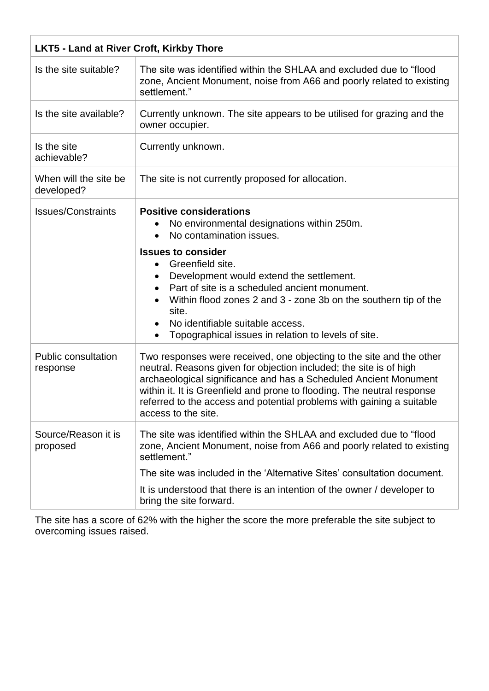| <b>LKT5 - Land at River Croft, Kirkby Thore</b> |                                                                                                                                                                                                                                                                                                                                                                                           |  |
|-------------------------------------------------|-------------------------------------------------------------------------------------------------------------------------------------------------------------------------------------------------------------------------------------------------------------------------------------------------------------------------------------------------------------------------------------------|--|
| Is the site suitable?                           | The site was identified within the SHLAA and excluded due to "flood<br>zone, Ancient Monument, noise from A66 and poorly related to existing<br>settlement."                                                                                                                                                                                                                              |  |
| Is the site available?                          | Currently unknown. The site appears to be utilised for grazing and the<br>owner occupier.                                                                                                                                                                                                                                                                                                 |  |
| Is the site<br>achievable?                      | Currently unknown.                                                                                                                                                                                                                                                                                                                                                                        |  |
| When will the site be<br>developed?             | The site is not currently proposed for allocation.                                                                                                                                                                                                                                                                                                                                        |  |
| <b>Issues/Constraints</b>                       | <b>Positive considerations</b><br>No environmental designations within 250m.<br>No contamination issues.<br>$\bullet$                                                                                                                                                                                                                                                                     |  |
|                                                 | <b>Issues to consider</b><br>Greenfield site.<br>$\bullet$<br>Development would extend the settlement.<br>$\bullet$<br>Part of site is a scheduled ancient monument.<br>Within flood zones 2 and 3 - zone 3b on the southern tip of the<br>site.<br>No identifiable suitable access.<br>$\bullet$<br>Topographical issues in relation to levels of site.                                  |  |
| <b>Public consultation</b><br>response          | Two responses were received, one objecting to the site and the other<br>neutral. Reasons given for objection included; the site is of high<br>archaeological significance and has a Scheduled Ancient Monument<br>within it. It is Greenfield and prone to flooding. The neutral response<br>referred to the access and potential problems with gaining a suitable<br>access to the site. |  |
| Source/Reason it is<br>proposed                 | The site was identified within the SHLAA and excluded due to "flood<br>zone, Ancient Monument, noise from A66 and poorly related to existing<br>settlement."                                                                                                                                                                                                                              |  |
|                                                 | The site was included in the 'Alternative Sites' consultation document.                                                                                                                                                                                                                                                                                                                   |  |
|                                                 | It is understood that there is an intention of the owner / developer to<br>bring the site forward.                                                                                                                                                                                                                                                                                        |  |

The site has a score of 62% with the higher the score the more preferable the site subject to overcoming issues raised.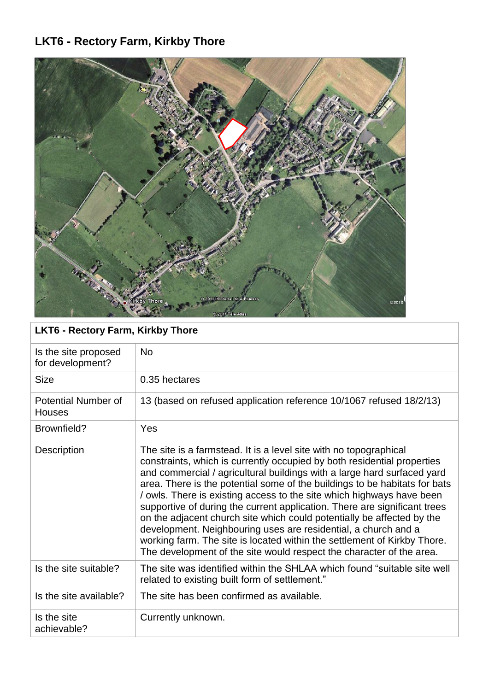# **LKT6 - Rectory Farm, Kirkby Thore**



| <b>LKT6 - Rectory Farm, Kirkby Thore</b> |                                                                                                                                                                                                                                                                                                                                                                                                                                                                                                                                                                                                                                                                                                                                                             |  |
|------------------------------------------|-------------------------------------------------------------------------------------------------------------------------------------------------------------------------------------------------------------------------------------------------------------------------------------------------------------------------------------------------------------------------------------------------------------------------------------------------------------------------------------------------------------------------------------------------------------------------------------------------------------------------------------------------------------------------------------------------------------------------------------------------------------|--|
| Is the site proposed<br>for development? | <b>No</b>                                                                                                                                                                                                                                                                                                                                                                                                                                                                                                                                                                                                                                                                                                                                                   |  |
| <b>Size</b>                              | 0.35 hectares                                                                                                                                                                                                                                                                                                                                                                                                                                                                                                                                                                                                                                                                                                                                               |  |
| Potential Number of<br><b>Houses</b>     | 13 (based on refused application reference 10/1067 refused 18/2/13)                                                                                                                                                                                                                                                                                                                                                                                                                                                                                                                                                                                                                                                                                         |  |
| Brownfield?                              | Yes                                                                                                                                                                                                                                                                                                                                                                                                                                                                                                                                                                                                                                                                                                                                                         |  |
| Description                              | The site is a farmstead. It is a level site with no topographical<br>constraints, which is currently occupied by both residential properties<br>and commercial / agricultural buildings with a large hard surfaced yard<br>area. There is the potential some of the buildings to be habitats for bats<br>/ owls. There is existing access to the site which highways have been<br>supportive of during the current application. There are significant trees<br>on the adjacent church site which could potentially be affected by the<br>development. Neighbouring uses are residential, a church and a<br>working farm. The site is located within the settlement of Kirkby Thore.<br>The development of the site would respect the character of the area. |  |
| Is the site suitable?                    | The site was identified within the SHLAA which found "suitable site well<br>related to existing built form of settlement."                                                                                                                                                                                                                                                                                                                                                                                                                                                                                                                                                                                                                                  |  |
| Is the site available?                   | The site has been confirmed as available.                                                                                                                                                                                                                                                                                                                                                                                                                                                                                                                                                                                                                                                                                                                   |  |
| Is the site<br>achievable?               | Currently unknown.                                                                                                                                                                                                                                                                                                                                                                                                                                                                                                                                                                                                                                                                                                                                          |  |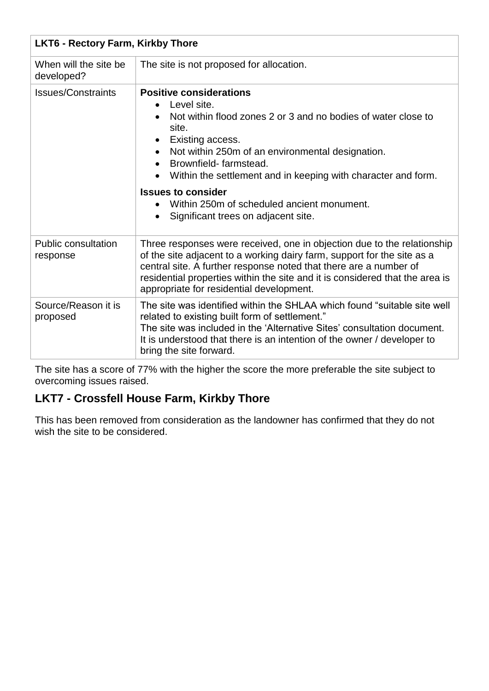| <b>LKT6 - Rectory Farm, Kirkby Thore</b> |                                                                                                                                                                                                                                                                                                                                                                                                                                                    |
|------------------------------------------|----------------------------------------------------------------------------------------------------------------------------------------------------------------------------------------------------------------------------------------------------------------------------------------------------------------------------------------------------------------------------------------------------------------------------------------------------|
| When will the site be<br>developed?      | The site is not proposed for allocation.                                                                                                                                                                                                                                                                                                                                                                                                           |
| <b>Issues/Constraints</b>                | <b>Positive considerations</b><br>Level site.<br>$\bullet$<br>Not within flood zones 2 or 3 and no bodies of water close to<br>site.<br>Existing access.<br>Not within 250m of an environmental designation.<br>Brownfield-farmstead.<br>$\bullet$<br>Within the settlement and in keeping with character and form.<br><b>Issues to consider</b><br>Within 250m of scheduled ancient monument.<br>Significant trees on adjacent site.<br>$\bullet$ |
| <b>Public consultation</b><br>response   | Three responses were received, one in objection due to the relationship<br>of the site adjacent to a working dairy farm, support for the site as a<br>central site. A further response noted that there are a number of<br>residential properties within the site and it is considered that the area is<br>appropriate for residential development.                                                                                                |
| Source/Reason it is<br>proposed          | The site was identified within the SHLAA which found "suitable site well<br>related to existing built form of settlement."<br>The site was included in the 'Alternative Sites' consultation document.<br>It is understood that there is an intention of the owner / developer to<br>bring the site forward.                                                                                                                                        |

The site has a score of 77% with the higher the score the more preferable the site subject to overcoming issues raised.

### **LKT7 - Crossfell House Farm, Kirkby Thore**

This has been removed from consideration as the landowner has confirmed that they do not wish the site to be considered.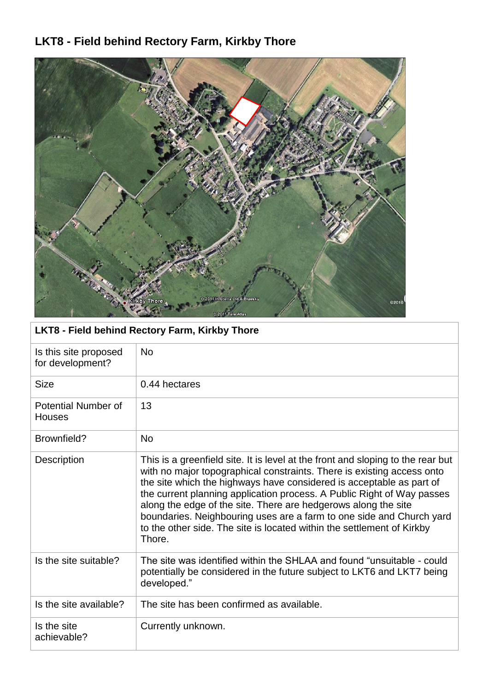# **LKT8 - Field behind Rectory Farm, Kirkby Thore**



| <b>LKT8 - Field behind Rectory Farm, Kirkby Thore</b> |                                                                                                                                                                                                                                                                                                                                                                                                                                                                                                                                           |
|-------------------------------------------------------|-------------------------------------------------------------------------------------------------------------------------------------------------------------------------------------------------------------------------------------------------------------------------------------------------------------------------------------------------------------------------------------------------------------------------------------------------------------------------------------------------------------------------------------------|
| Is this site proposed<br>for development?             | <b>No</b>                                                                                                                                                                                                                                                                                                                                                                                                                                                                                                                                 |
| <b>Size</b>                                           | 0.44 hectares                                                                                                                                                                                                                                                                                                                                                                                                                                                                                                                             |
| <b>Potential Number of</b><br><b>Houses</b>           | 13                                                                                                                                                                                                                                                                                                                                                                                                                                                                                                                                        |
| Brownfield?                                           | <b>No</b>                                                                                                                                                                                                                                                                                                                                                                                                                                                                                                                                 |
| Description                                           | This is a greenfield site. It is level at the front and sloping to the rear but<br>with no major topographical constraints. There is existing access onto<br>the site which the highways have considered is acceptable as part of<br>the current planning application process. A Public Right of Way passes<br>along the edge of the site. There are hedgerows along the site<br>boundaries. Neighbouring uses are a farm to one side and Church yard<br>to the other side. The site is located within the settlement of Kirkby<br>Thore. |
| Is the site suitable?                                 | The site was identified within the SHLAA and found "unsuitable - could<br>potentially be considered in the future subject to LKT6 and LKT7 being<br>developed."                                                                                                                                                                                                                                                                                                                                                                           |
| Is the site available?                                | The site has been confirmed as available.                                                                                                                                                                                                                                                                                                                                                                                                                                                                                                 |
| Is the site<br>achievable?                            | Currently unknown.                                                                                                                                                                                                                                                                                                                                                                                                                                                                                                                        |